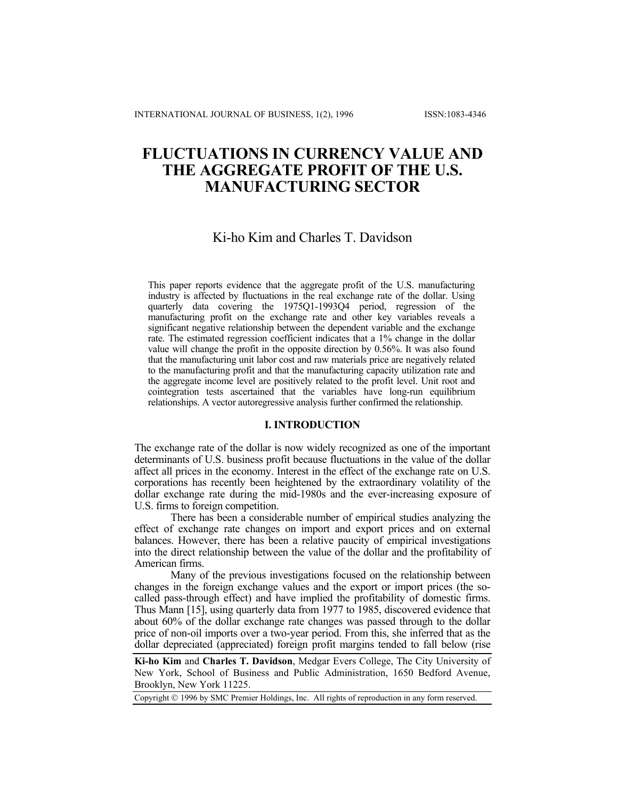# **FLUCTUATIONS IN CURRENCY VALUE AND THE AGGREGATE PROFIT OF THE U.S. MANUFACTURING SECTOR**

# Ki-ho Kim and Charles T. Davidson

This paper reports evidence that the aggregate profit of the U.S. manufacturing industry is affected by fluctuations in the real exchange rate of the dollar. Using quarterly data covering the 1975Q1-1993Q4 period, regression of the manufacturing profit on the exchange rate and other key variables reveals a significant negative relationship between the dependent variable and the exchange rate. The estimated regression coefficient indicates that a 1% change in the dollar value will change the profit in the opposite direction by 0.56%. It was also found that the manufacturing unit labor cost and raw materials price are negatively related to the manufacturing profit and that the manufacturing capacity utilization rate and the aggregate income level are positively related to the profit level. Unit root and cointegration tests ascertained that the variables have long-run equilibrium relationships. A vector autoregressive analysis further confirmed the relationship.

#### **I. INTRODUCTION**

The exchange rate of the dollar is now widely recognized as one of the important determinants of U.S. business profit because fluctuations in the value of the dollar affect all prices in the economy. Interest in the effect of the exchange rate on U.S. corporations has recently been heightened by the extraordinary volatility of the dollar exchange rate during the mid-1980s and the ever-increasing exposure of U.S. firms to foreign competition.

There has been a considerable number of empirical studies analyzing the effect of exchange rate changes on import and export prices and on external balances. However, there has been a relative paucity of empirical investigations into the direct relationship between the value of the dollar and the profitability of American firms.

Many of the previous investigations focused on the relationship between changes in the foreign exchange values and the export or import prices (the socalled pass-through effect) and have implied the profitability of domestic firms. Thus Mann [15], using quarterly data from 1977 to 1985, discovered evidence that about 60% of the dollar exchange rate changes was passed through to the dollar price of non-oil imports over a two-year period. From this, she inferred that as the dollar depreciated (appreciated) foreign profit margins tended to fall below (rise

**Ki-ho Kim** and **Charles T. Davidson**, Medgar Evers College, The City University of New York, School of Business and Public Administration, 1650 Bedford Avenue, Brooklyn, New York 11225.

Copyright © 1996 by SMC Premier Holdings, Inc. All rights of reproduction in any form reserved.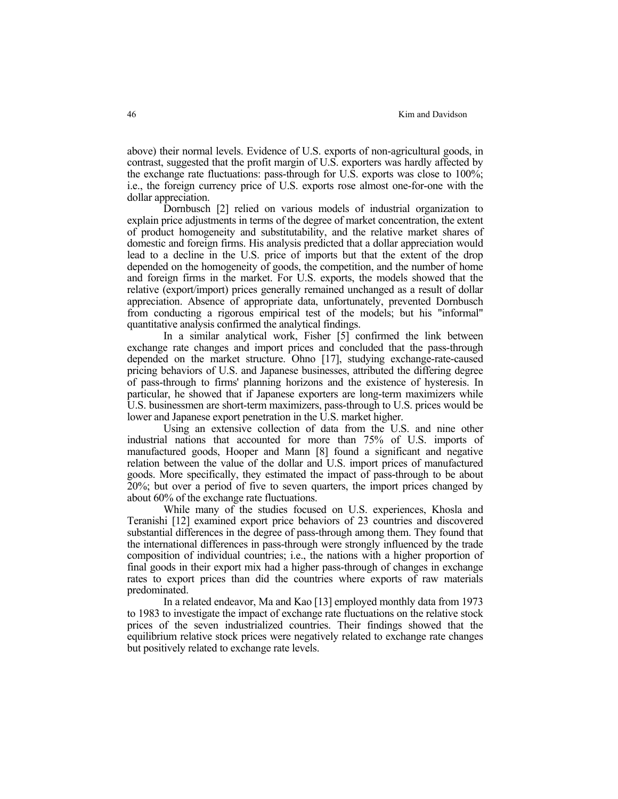above) their normal levels. Evidence of U.S. exports of non-agricultural goods, in contrast, suggested that the profit margin of U.S. exporters was hardly affected by the exchange rate fluctuations: pass-through for U.S. exports was close to 100%; i.e., the foreign currency price of U.S. exports rose almost one-for-one with the dollar appreciation.

 Dornbusch [2] relied on various models of industrial organization to explain price adjustments in terms of the degree of market concentration, the extent of product homogeneity and substitutability, and the relative market shares of domestic and foreign firms. His analysis predicted that a dollar appreciation would lead to a decline in the U.S. price of imports but that the extent of the drop depended on the homogeneity of goods, the competition, and the number of home and foreign firms in the market. For U.S. exports, the models showed that the relative (export/import) prices generally remained unchanged as a result of dollar appreciation. Absence of appropriate data, unfortunately, prevented Dornbusch from conducting a rigorous empirical test of the models; but his "informal" quantitative analysis confirmed the analytical findings.

 In a similar analytical work, Fisher [5] confirmed the link between exchange rate changes and import prices and concluded that the pass-through depended on the market structure. Ohno [17], studying exchange-rate-caused pricing behaviors of U.S. and Japanese businesses, attributed the differing degree of pass-through to firms' planning horizons and the existence of hysteresis. In particular, he showed that if Japanese exporters are long-term maximizers while U.S. businessmen are short-term maximizers, pass-through to U.S. prices would be lower and Japanese export penetration in the U.S. market higher.

 Using an extensive collection of data from the U.S. and nine other industrial nations that accounted for more than 75% of U.S. imports of manufactured goods, Hooper and Mann [8] found a significant and negative relation between the value of the dollar and U.S. import prices of manufactured goods. More specifically, they estimated the impact of pass-through to be about 20%; but over a period of five to seven quarters, the import prices changed by about 60% of the exchange rate fluctuations.

 While many of the studies focused on U.S. experiences, Khosla and Teranishi [12] examined export price behaviors of 23 countries and discovered substantial differences in the degree of pass-through among them. They found that the international differences in pass-through were strongly influenced by the trade composition of individual countries; i.e., the nations with a higher proportion of final goods in their export mix had a higher pass-through of changes in exchange rates to export prices than did the countries where exports of raw materials predominated.

 In a related endeavor, Ma and Kao [13] employed monthly data from 1973 to 1983 to investigate the impact of exchange rate fluctuations on the relative stock prices of the seven industrialized countries. Their findings showed that the equilibrium relative stock prices were negatively related to exchange rate changes but positively related to exchange rate levels.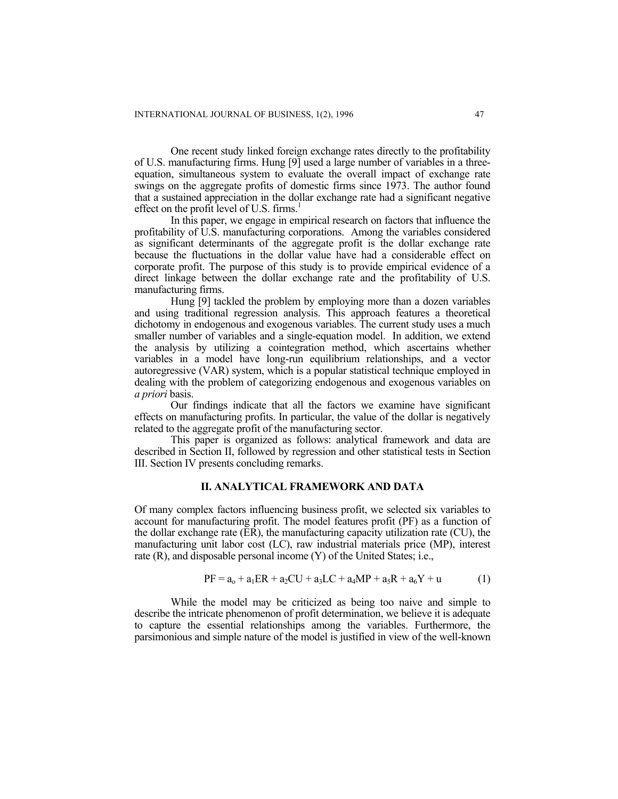One recent study linked foreign exchange rates directly to the profitability of U.S. manufacturing firms. Hung [9] used a large number of variables in a threeequation, simultaneous system to evaluate the overall impact of exchange rate swings on the aggregate profits of domestic firms since 1973. The author found that a sustained appreciation in the dollar exchange rate had a significant negative effect on the profit level of U.S. firms. $<sup>1</sup>$  $<sup>1</sup>$  $<sup>1</sup>$ </sup>

In this paper, we engage in empirical research on factors that influence the profitability of U.S. manufacturing corporations. Among the variables considered as significant determinants of the aggregate profit is the dollar exchange rate because the fluctuations in the dollar value have had a considerable effect on corporate profit. The purpose of this study is to provide empirical evidence of a direct linkage between the dollar exchange rate and the profitability of U.S. manufacturing firms.

Hung [9] tackled the problem by employing more than a dozen variables and using traditional regression analysis. This approach features a theoretical dichotomy in endogenous and exogenous variables. The current study uses a much smaller number of variables and a single-equation model. In addition, we extend the analysis by utilizing a cointegration method, which ascertains whether variables in a model have long-run equilibrium relationships, and a vector autoregressive (VAR) system, which is a popular statistical technique employed in dealing with the problem of categorizing endogenous and exogenous variables on *a priori* basis.

Our findings indicate that all the factors we examine have significant effects on manufacturing profits. In particular, the value of the dollar is negatively related to the aggregate profit of the manufacturing sector.

This paper is organized as follows: analytical framework and data are described in Section II, followed by regression and other statistical tests in Section III. Section IV presents concluding remarks.

#### **II. ANALYTICAL FRAMEWORK AND DATA**

Of many complex factors influencing business profit, we selected six variables to account for manufacturing profit. The model features profit (PF) as a function of the dollar exchange rate (ER), the manufacturing capacity utilization rate (CU), the manufacturing unit labor cost (LC), raw industrial materials price (MP), interest rate (R), and disposable personal income (Y) of the United States; i.e.,

$$
PF = a_0 + a_1 ER + a_2CU + a_3LC + a_4MP + a_5R + a_6Y + u
$$
 (1)

While the model may be criticized as being too naive and simple to describe the intricate phenomenon of profit determination, we believe it is adequate to capture the essential relationships among the variables. Furthermore, the parsimonious and simple nature of the model is justified in view of the well-known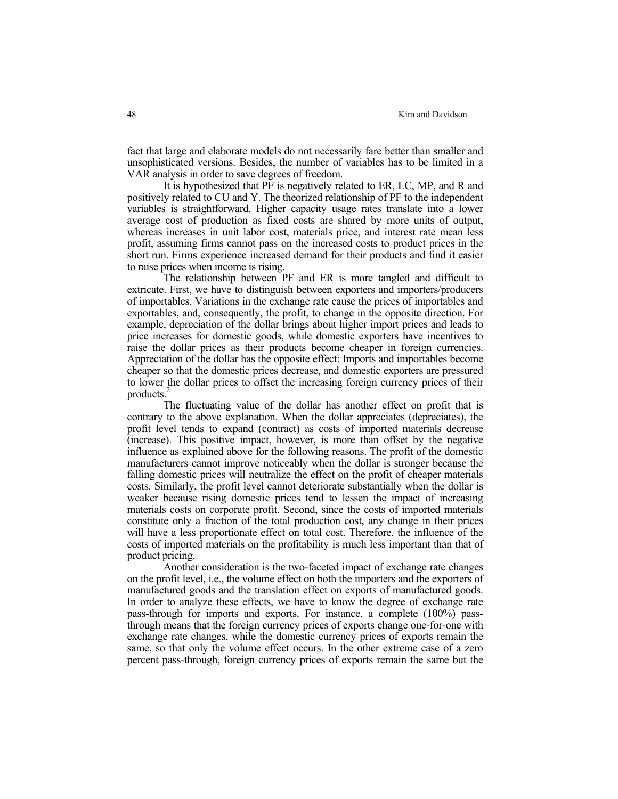fact that large and elaborate models do not necessarily fare better than smaller and unsophisticated versions. Besides, the number of variables has to be limited in a VAR analysis in order to save degrees of freedom.

 It is hypothesized that PF is negatively related to ER, LC, MP, and R and positively related to CU and Y. The theorized relationship of PF to the independent variables is straightforward. Higher capacity usage rates translate into a lower average cost of production as fixed costs are shared by more units of output, whereas increases in unit labor cost, materials price, and interest rate mean less profit, assuming firms cannot pass on the increased costs to product prices in the short run. Firms experience increased demand for their products and find it easier to raise prices when income is rising.

 The relationship between PF and ER is more tangled and difficult to extricate. First, we have to distinguish between exporters and importers/producers of importables. Variations in the exchange rate cause the prices of importables and exportables, and, consequently, the profit, to change in the opposite direction. For example, depreciation of the dollar brings about higher import prices and leads to price increases for domestic goods, while domestic exporters have incentives to raise the dollar prices as their products become cheaper in foreign currencies. Appreciation of the dollar has the opposite effect: Imports and importables become cheaper so that the domestic prices decrease, and domestic exporters are pressured to lower the dollar prices to offset the increasing foreign currency prices of their products.[2](#page-17-1)

 The fluctuating value of the dollar has another effect on profit that is contrary to the above explanation. When the dollar appreciates (depreciates), the profit level tends to expand (contract) as costs of imported materials decrease (increase). This positive impact, however, is more than offset by the negative influence as explained above for the following reasons. The profit of the domestic manufacturers cannot improve noticeably when the dollar is stronger because the falling domestic prices will neutralize the effect on the profit of cheaper materials costs. Similarly, the profit level cannot deteriorate substantially when the dollar is weaker because rising domestic prices tend to lessen the impact of increasing materials costs on corporate profit. Second, since the costs of imported materials constitute only a fraction of the total production cost, any change in their prices will have a less proportionate effect on total cost. Therefore, the influence of the costs of imported materials on the profitability is much less important than that of product pricing.

 Another consideration is the two-faceted impact of exchange rate changes on the profit level, i.e., the volume effect on both the importers and the exporters of manufactured goods and the translation effect on exports of manufactured goods. In order to analyze these effects, we have to know the degree of exchange rate pass-through for imports and exports. For instance, a complete (100%) passthrough means that the foreign currency prices of exports change one-for-one with exchange rate changes, while the domestic currency prices of exports remain the same, so that only the volume effect occurs. In the other extreme case of a zero percent pass-through, foreign currency prices of exports remain the same but the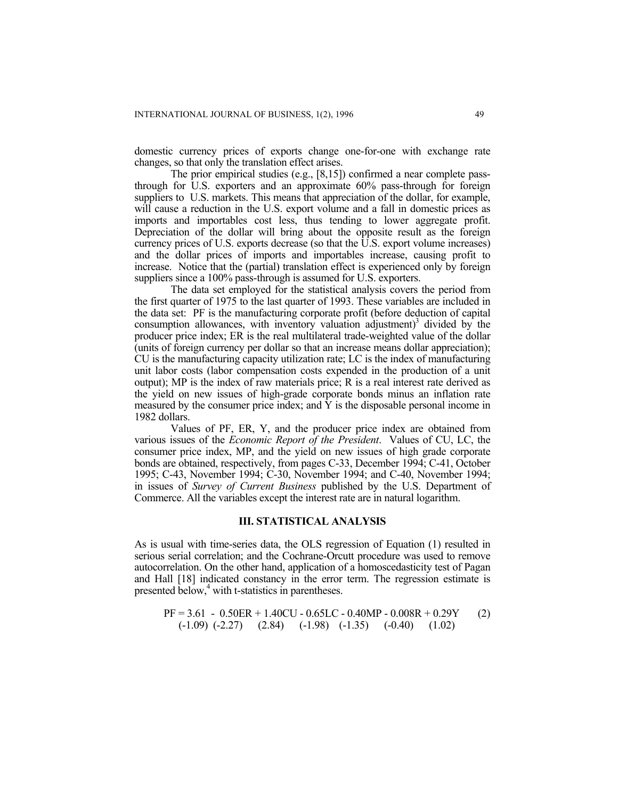domestic currency prices of exports change one-for-one with exchange rate changes, so that only the translation effect arises.

The prior empirical studies (e.g., [8,15]) confirmed a near complete passthrough for U.S. exporters and an approximate 60% pass-through for foreign suppliers to U.S. markets. This means that appreciation of the dollar, for example, will cause a reduction in the U.S. export volume and a fall in domestic prices as imports and importables cost less, thus tending to lower aggregate profit. Depreciation of the dollar will bring about the opposite result as the foreign currency prices of U.S. exports decrease (so that the  $\hat{U}$ .S. export volume increases) and the dollar prices of imports and importables increase, causing profit to increase. Notice that the (partial) translation effect is experienced only by foreign suppliers since a 100% pass-through is assumed for U.S. exporters.

The data set employed for the statistical analysis covers the period from the first quarter of 1975 to the last quarter of 1993. These variables are included in the data set: PF is the manufacturing corporate profit (before deduction of capital consumptionallowances, with inventory valuation adjustment)<sup>3</sup> divided by the producer price index; ER is the real multilateral trade-weighted value of the dollar (units of foreign currency per dollar so that an increase means dollar appreciation); CU is the manufacturing capacity utilization rate; LC is the index of manufacturing unit labor costs (labor compensation costs expended in the production of a unit output); MP is the index of raw materials price; R is a real interest rate derived as the yield on new issues of high-grade corporate bonds minus an inflation rate measured by the consumer price index; and  $\hat{Y}$  is the disposable personal income in 1982 dollars.

Values of PF, ER, Y, and the producer price index are obtained from various issues of the *Economic Report of the President*. Values of CU, LC, the consumer price index, MP, and the yield on new issues of high grade corporate bonds are obtained, respectively, from pages C-33, December 1994; C-41, October 1995; C-43, November 1994; C-30, November 1994; and C-40, November 1994; in issues of *Survey of Current Business* published by the U.S. Department of Commerce. All the variables except the interest rate are in natural logarithm.

#### **III. STATISTICAL ANALYSIS**

As is usual with time-series data, the OLS regression of Equation (1) resulted in serious serial correlation; and the Cochrane-Orcutt procedure was used to remove autocorrelation. On the other hand, application of a homoscedasticity test of Pagan and Hall [18] indicated constancy in the error term. The regression estimate is presented below,<sup>4</sup> [w](#page-17-3)ith t-statistics in parentheses.

$$
PF = 3.61 - 0.50ER + 1.40CU - 0.65LC - 0.40MP - 0.008R + 0.29Y
$$
  
(-1.09) (-2.27) (2.84) (-1.98) (-1.35) (-0.40) (1.02)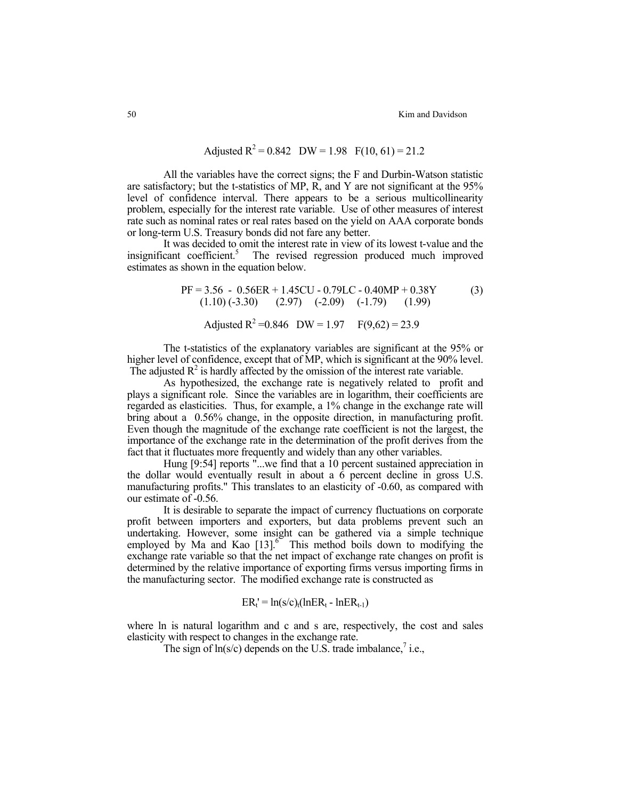## Adjusted  $R^2 = 0.842$  DW = 1.98  $F(10, 61) = 21.2$

 All the variables have the correct signs; the F and Durbin-Watson statistic are satisfactory; but the t-statistics of MP, R, and Y are not significant at the 95% level of confidence interval. There appears to be a serious multicollinearity problem, especially for the interest rate variable. Use of other measures of interest rate such as nominal rates or real rates based on the yield on AAA corporate bonds or long-term U.S. Treasury bonds did not fare any better.

 It was decided to omit the interest rate in view of its lowest t-value and the insignificant coefficient.<sup>5</sup> The revised regression produced much improved estimates as shown in the equation below.

 PF = 3.56 - 0.56ER + 1.45CU - 0.79LC - 0.40MP + 0.38Y (3) (1.10) (-3.30) (2.97) (-2.09) (-1.79) (1.99) Adjusted R2 =0.846 DW = 1.97 F(9,62) = 23.9

 The t-statistics of the explanatory variables are significant at the 95% or higher level of confidence, except that of MP, which is significant at the 90% level. The adjusted  $R^2$  is hardly affected by the omission of the interest rate variable.

 As hypothesized, the exchange rate is negatively related to profit and plays a significant role. Since the variables are in logarithm, their coefficients are regarded as elasticities. Thus, for example, a 1% change in the exchange rate will bring about a 0.56% change, in the opposite direction, in manufacturing profit. Even though the magnitude of the exchange rate coefficient is not the largest, the importance of the exchange rate in the determination of the profit derives from the fact that it fluctuates more frequently and widely than any other variables.

Hung [9:54] reports "...we find that a 10 percent sustained appreciation in the dollar would eventually result in about a 6 percent decline in gross U.S. manufacturing profits." This translates to an elasticity of -0.60, as compared with our estimate of -0.56.

 It is desirable to separate the impact of currency fluctuations on corporate profit between importers and exporters, but data problems prevent such an undertaking. However, some insight can be gathered via a simple technique employed by Ma and Kao  $[13]$ <sup>6</sup> This method boils down to modifying the exchange rate variable so that the net impact of exchange rate changes on profit is determined by the relative importance of exporting firms versus importing firms in the manufacturing sector. The modified exchange rate is constructed as

$$
ER_t = ln(s/c)_t(lnER_t - lnER_{t-1})
$$

where ln is natural logarithm and c and s are, respectively, the cost and sales elasticity with respect to changes in the exchange rate.

The sign of  $ln(s/c)$  depends on the U.S. trade imbalance, i.e.,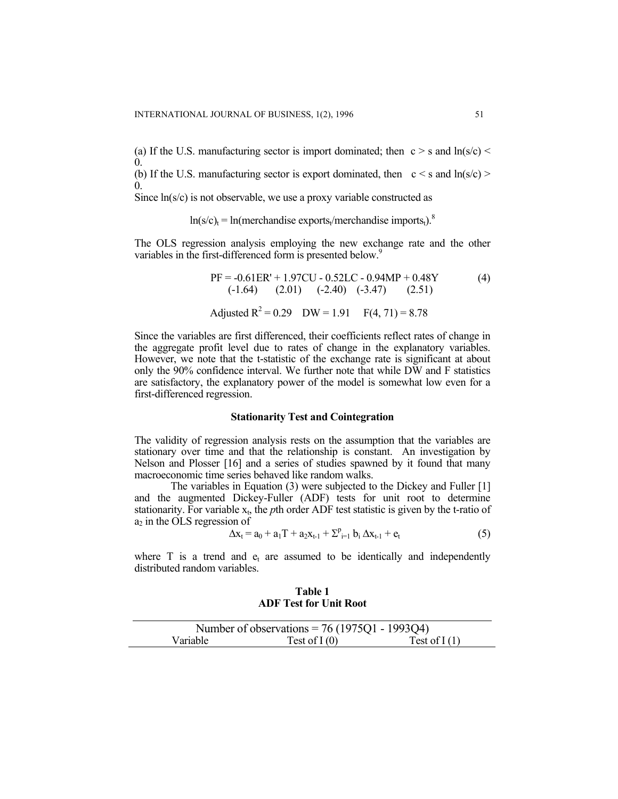(a) If the U.S. manufacturing sector is import dominated; then  $c > s$  and  $ln(s/c)$ 0.

(b) If the U.S. manufacturing sector is export dominated, then  $c < s$  and  $ln(s/c)$ 0.

Since ln(s/c) is not observable, we use a proxy variable constructed as

 $ln(s/c)_{t} = ln(merchandise exports/merchandise imports_{t})$ .<sup>8</sup>

The OLS regression analysis employing the new exchange rate and the other variables in the first-differenced form is presented below.<sup>[9](#page-17-8)</sup>

 PF = -0.61ER' + 1.97CU - 0.52LC - 0.94MP + 0.48Y (4) (-1.64) (2.01) (-2.40) (-3.47) (2.51) Adjusted R2 = 0.29 DW = 1.91 F(4, 71) = 8.78

Since the variables are first differenced, their coefficients reflect rates of change in the aggregate profit level due to rates of change in the explanatory variables. However, we note that the t-statistic of the exchange rate is significant at about only the 90% confidence interval. We further note that while DW and F statistics are satisfactory, the explanatory power of the model is somewhat low even for a first-differenced regression.

#### **Stationarity Test and Cointegration**

The validity of regression analysis rests on the assumption that the variables are stationary over time and that the relationship is constant. An investigation by Nelson and Plosser [16] and a series of studies spawned by it found that many macroeconomic time series behaved like random walks.

The variables in Equation (3) were subjected to the Dickey and Fuller [1] and the augmented Dickey-Fuller (ADF) tests for unit root to determine stationarity. For variable  $x_t$ , the *p*th order ADF test statistic is given by the t-ratio of  $a_2$  in the OLS regression of

$$
\Delta x_t = a_0 + a_1 T + a_2 x_{t-1} + \sum_{i=1}^p b_i \Delta x_{t-1} + e_t
$$
 (5)

where  $T$  is a trend and  $e_t$  are assumed to be identically and independently distributed random variables.

**Table 1 ADF Test for Unit Root** 

|          | Number of observations = $76(1975Q1 - 1993Q4)$ |                |
|----------|------------------------------------------------|----------------|
| Variable | Test of $I(0)$                                 | Test of $I(1)$ |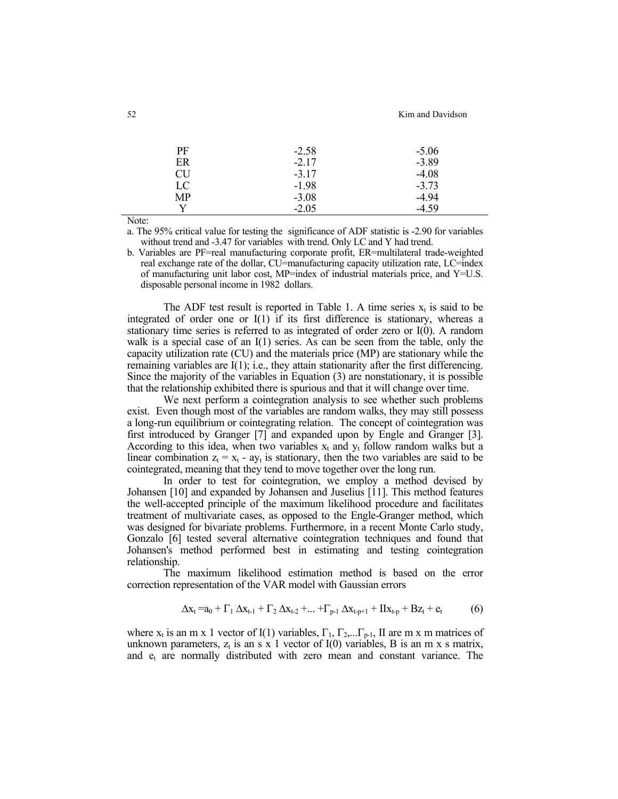| $-2.58$ | $-5.06$ |
|---------|---------|
| $-2.17$ | $-3.89$ |
| $-3.17$ | $-4.08$ |
| $-1.98$ | $-3.73$ |
| $-3.08$ | $-4.94$ |
| $-2.05$ | $-4.59$ |
|         |         |

Note:

a. The 95% critical value for testing the significance of ADF statistic is -2.90 for variables without trend and -3.47 for variables with trend. Only LC and Y had trend.

b. Variables are PF=real manufacturing corporate profit, ER=multilateral trade-weighted real exchange rate of the dollar, CU=manufacturing capacity utilization rate, LC=index of manufacturing unit labor cost, MP=index of industrial materials price, and  $Y=U.S$ . disposable personal income in 1982 dollars.

The ADF test result is reported in Table 1. A time series  $x_t$  is said to be integrated of order one or I(1) if its first difference is stationary, whereas a stationary time series is referred to as integrated of order zero or I(0). A random walk is a special case of an I(1) series. As can be seen from the table, only the capacity utilization rate (CU) and the materials price (MP) are stationary while the remaining variables are I(1); i.e., they attain stationarity after the first differencing. Since the majority of the variables in Equation (3) are nonstationary, it is possible that the relationship exhibited there is spurious and that it will change over time.

 We next perform a cointegration analysis to see whether such problems exist. Even though most of the variables are random walks, they may still possess a long-run equilibrium or cointegrating relation. The concept of cointegration was first introduced by Granger [7] and expanded upon by Engle and Granger [3]. According to this idea, when two variables  $x_t$  and  $y_t$  follow random walks but a linear combination  $z_t = x_t - ay_t$  is stationary, then the two variables are said to be cointegrated, meaning that they tend to move together over the long run.

 In order to test for cointegration, we employ a method devised by Johansen [10] and expanded by Johansen and Juselius [11]. This method features the well-accepted principle of the maximum likelihood procedure and facilitates treatment of multivariate cases, as opposed to the Engle-Granger method, which was designed for bivariate problems. Furthermore, in a recent Monte Carlo study, Gonzalo [6] tested several alternative cointegration techniques and found that Johansen's method performed best in estimating and testing cointegration relationship.

 The maximum likelihood estimation method is based on the error correction representation of the VAR model with Gaussian errors

$$
\Delta x_t = a_0 + \Gamma_1 \, \Delta x_{t-1} + \Gamma_2 \, \Delta x_{t-2} + \dots + \Gamma_{p-1} \, \Delta x_{t-p+1} + \Pi x_{t-p} + B z_t + e_t \tag{6}
$$

where  $x_t$  is an m x 1 vector of I(1) variables,  $\Gamma_1$ ,  $\Gamma_2$ ,...,  $\Gamma_{p-1}$ , II are m x m matrices of unknown parameters,  $z_t$  is an s x 1 vector of I(0) variables, B is an m x s matrix, and  $e_t$  are normally distributed with zero mean and constant variance. The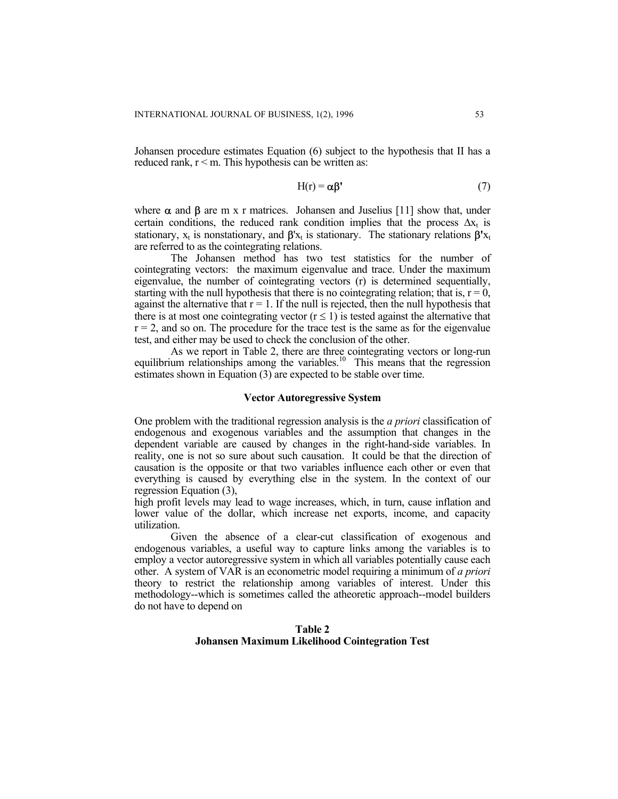Johansen procedure estimates Equation (6) subject to the hypothesis that II has a reduced rank,  $r < m$ . This hypothesis can be written as:

$$
H(r) = \alpha \beta' \tag{7}
$$

where  $\alpha$  and  $\beta$  are m x r matrices. Johansen and Juselius [11] show that, under certain conditions, the reduced rank condition implies that the process  $\Delta x_t$  is stationary,  $x_t$  is nonstationary, and  $\beta'x_t$  is stationary. The stationary relations  $\beta'x_t$ are referred to as the cointegrating relations.

The Johansen method has two test statistics for the number of cointegrating vectors: the maximum eigenvalue and trace. Under the maximum eigenvalue, the number of cointegrating vectors (r) is determined sequentially, starting with the null hypothesis that there is no cointegrating relation; that is,  $r = 0$ , against the alternative that  $r = 1$ . If the null is rejected, then the null hypothesis that there is at most one cointegrating vector  $(r \le 1)$  is tested against the alternative that  $r = 2$ , and so on. The procedure for the trace test is the same as for the eigenvalue test, and either may be used to check the conclusion of the other.

As we report in Table 2, there are three cointegrating vectors or long-run equilibrium relationships among the variables.<sup>10</sup> This means that the regression estimates shown in Equation (3) are expected to be stable over time.

#### **Vector Autoregressive System**

One problem with the traditional regression analysis is the *a priori* classification of endogenous and exogenous variables and the assumption that changes in the dependent variable are caused by changes in the right-hand-side variables. In reality, one is not so sure about such causation. It could be that the direction of causation is the opposite or that two variables influence each other or even that everything is caused by everything else in the system. In the context of our regression Equation (3),

high profit levels may lead to wage increases, which, in turn, cause inflation and lower value of the dollar, which increase net exports, income, and capacity utilization.

Given the absence of a clear-cut classification of exogenous and endogenous variables, a useful way to capture links among the variables is to employ a vector autoregressive system in which all variables potentially cause each other. A system of VAR is an econometric model requiring a minimum of *a priori* theory to restrict the relationship among variables of interest. Under this methodology--which is sometimes called the atheoretic approach--model builders do not have to depend on

#### **Table 2 Johansen Maximum Likelihood Cointegration Test**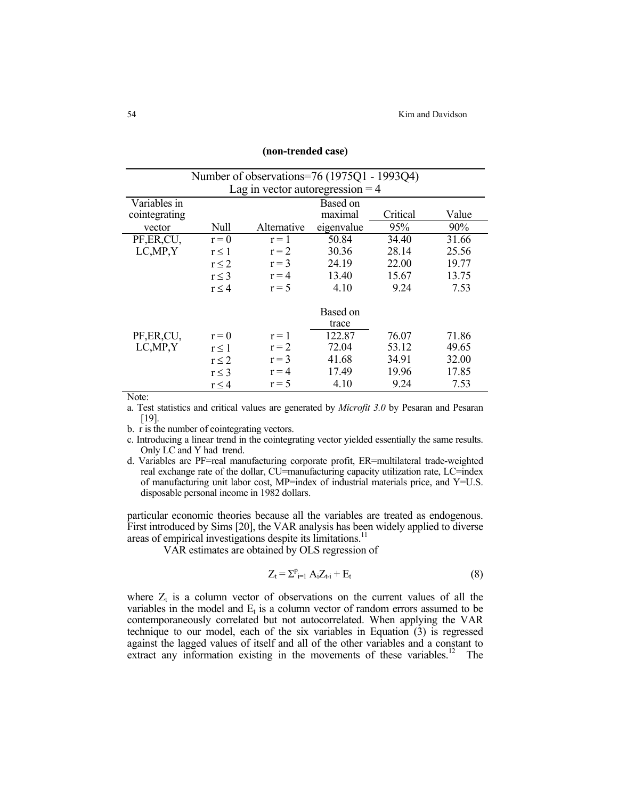| Number of observations=76 (1975Q1 - 1993Q4) |                                          |          |        |       |       |  |  |
|---------------------------------------------|------------------------------------------|----------|--------|-------|-------|--|--|
| Lag in vector autoregression $=$ 4          |                                          |          |        |       |       |  |  |
| Variables in                                |                                          | Based on |        |       |       |  |  |
| cointegrating                               | Value<br>Critical<br>maximal             |          |        |       |       |  |  |
| vector                                      | 95%<br>Null<br>Alternative<br>eigenvalue |          |        |       |       |  |  |
| PF, ER, CU,                                 | 50.84<br>34.40<br>$r = 1$<br>$r = 0$     |          |        |       | 31.66 |  |  |
| LC, MP, Y                                   | $r \leq 1$                               | $r = 2$  | 30.36  | 28.14 | 25.56 |  |  |
|                                             | $r \leq 2$                               | $r = 3$  | 24.19  | 22.00 | 19.77 |  |  |
|                                             | $r \leq 3$                               | $r = 4$  | 13.40  | 15.67 | 13.75 |  |  |
|                                             | $r \leq 4$                               | $r = 5$  | 4.10   | 9.24  | 7.53  |  |  |
|                                             | Based on                                 |          |        |       |       |  |  |
|                                             |                                          |          | trace  |       |       |  |  |
| PF, ER, CU,                                 | $r=0$                                    | $r = 1$  | 122.87 | 76.07 | 71.86 |  |  |
| LC, MP, Y                                   | $r \leq 1$                               | $r = 2$  | 72.04  | 53.12 | 49.65 |  |  |
|                                             | $r \leq 2$                               | $r = 3$  | 41.68  | 34.91 | 32.00 |  |  |
|                                             | $r \leq 3$                               | $r = 4$  | 17.49  | 19.96 | 17.85 |  |  |
|                                             | $r \leq 4$                               | $r = 5$  | 4.10   | 9.24  | 7.53  |  |  |

#### **(non-trended case)**

Note:

a. Test statistics and critical values are generated by *Microfit 3.0* by Pesaran and Pesaran [19].

b. r is the number of cointegrating vectors.

c. Introducing a linear trend in the cointegrating vector yielded essentially the same results. Only LC and Y had trend.

d. Variables are PF=real manufacturing corporate profit, ER=multilateral trade-weighted real exchange rate of the dollar, CU=manufacturing capacity utilization rate, LC=index of manufacturing unit labor cost, MP=index of industrial materials price, and Y=U.S. disposable personal income in 1982 dollars.

particular economic theories because all the variables are treated as endogenous. First introduced by Sims [20], the VAR analysis has been widely applied to diverse areas of empirical investigations despite its limitations.<sup>11</sup>

VAR estimates are obtained by OLS regression of

$$
Z_t = \sum_{i=1}^p A_i Z_{t-i} + E_t \tag{8}
$$

where  $Z_t$  is a column vector of observations on the current values of all the variables in the model and  $E_t$  is a column vector of random errors assumed to be contemporaneously correlated but not autocorrelated. When applying the VAR technique to our model, each of the six variables in Equation  $(3)$  is regressed against the lagged values of itself and all of the other variables and a constant to extract any information existing in the movements of these variables.<sup>12</sup> The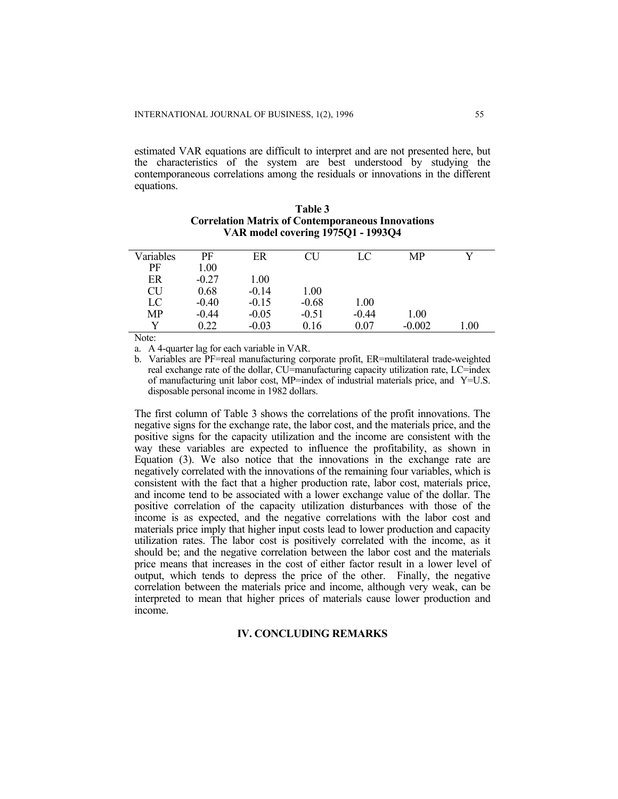estimated VAR equations are difficult to interpret and are not presented here, but the characteristics of the system are best understood by studying the contemporaneous correlations among the residuals or innovations in the different equations.

| Variables | PF      | ER      | CU      | LC      | MP       |      |
|-----------|---------|---------|---------|---------|----------|------|
| PF        | 1.00    |         |         |         |          |      |
| ER        | $-0.27$ | 1.00    |         |         |          |      |
| CU        | 0.68    | $-0.14$ | 1.00    |         |          |      |
| LC        | $-0.40$ | $-0.15$ | $-0.68$ | 1.00    |          |      |
| <b>MP</b> | $-0.44$ | $-0.05$ | $-0.51$ | $-0.44$ | 1.00     |      |
|           | 0.22    | $-0.03$ | 0.16    | 0.07    | $-0.002$ | l.00 |

| <b>Table 3</b>                                           |
|----------------------------------------------------------|
| <b>Correlation Matrix of Contemporaneous Innovations</b> |
| VAR model covering 1975Q1 - 1993Q4                       |

Note:

a. A 4-quarter lag for each variable in VAR.

b. Variables are PF=real manufacturing corporate profit, ER=multilateral trade-weighted real exchange rate of the dollar, CU=manufacturing capacity utilization rate, LC=index of manufacturing unit labor cost,  $MP$ =index of industrial materials price, and Y=U.S. disposable personal income in 1982 dollars.

The first column of Table 3 shows the correlations of the profit innovations. The negative signs for the exchange rate, the labor cost, and the materials price, and the positive signs for the capacity utilization and the income are consistent with the way these variables are expected to influence the profitability, as shown in Equation (3). We also notice that the innovations in the exchange rate are negatively correlated with the innovations of the remaining four variables, which is consistent with the fact that a higher production rate, labor cost, materials price, and income tend to be associated with a lower exchange value of the dollar. The positive correlation of the capacity utilization disturbances with those of the income is as expected, and the negative correlations with the labor cost and materials price imply that higher input costs lead to lower production and capacity utilization rates. The labor cost is positively correlated with the income, as it should be; and the negative correlation between the labor cost and the materials price means that increases in the cost of either factor result in a lower level of output, which tends to depress the price of the other. Finally, the negative correlation between the materials price and income, although very weak, can be interpreted to mean that higher prices of materials cause lower production and income.

#### **IV. CONCLUDING REMARKS**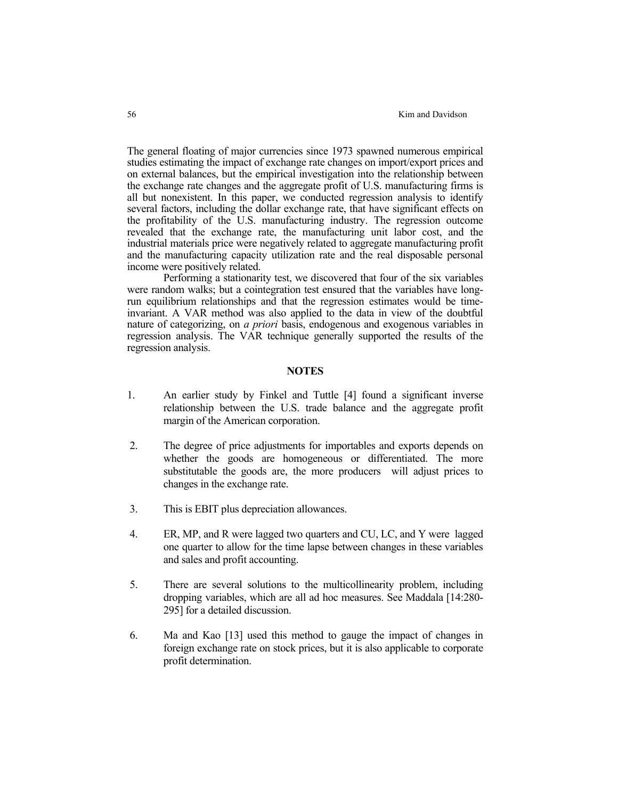The general floating of major currencies since 1973 spawned numerous empirical studies estimating the impact of exchange rate changes on import/export prices and on external balances, but the empirical investigation into the relationship between the exchange rate changes and the aggregate profit of U.S. manufacturing firms is all but nonexistent. In this paper, we conducted regression analysis to identify several factors, including the dollar exchange rate, that have significant effects on the profitability of the U.S. manufacturing industry. The regression outcome revealed that the exchange rate, the manufacturing unit labor cost, and the industrial materials price were negatively related to aggregate manufacturing profit and the manufacturing capacity utilization rate and the real disposable personal income were positively related.

 Performing a stationarity test, we discovered that four of the six variables were random walks; but a cointegration test ensured that the variables have longrun equilibrium relationships and that the regression estimates would be timeinvariant. A VAR method was also applied to the data in view of the doubtful nature of categorizing, on *a priori* basis, endogenous and exogenous variables in regression analysis. The VAR technique generally supported the results of the regression analysis.

### **NOTES**

- 1. An earlier study by Finkel and Tuttle [4] found a significant inverse relationship between the U.S. trade balance and the aggregate profit margin of the American corporation.
- 2. The degree of price adjustments for importables and exports depends on whether the goods are homogeneous or differentiated. The more substitutable the goods are, the more producers will adjust prices to changes in the exchange rate.
- 3. This is EBIT plus depreciation allowances.
- 4. ER, MP, and R were lagged two quarters and CU, LC, and Y were lagged one quarter to allow for the time lapse between changes in these variables and sales and profit accounting.
- 5. There are several solutions to the multicollinearity problem, including dropping variables, which are all ad hoc measures. See Maddala [14:280- 295] for a detailed discussion.
- 6. Ma and Kao [13] used this method to gauge the impact of changes in foreign exchange rate on stock prices, but it is also applicable to corporate profit determination.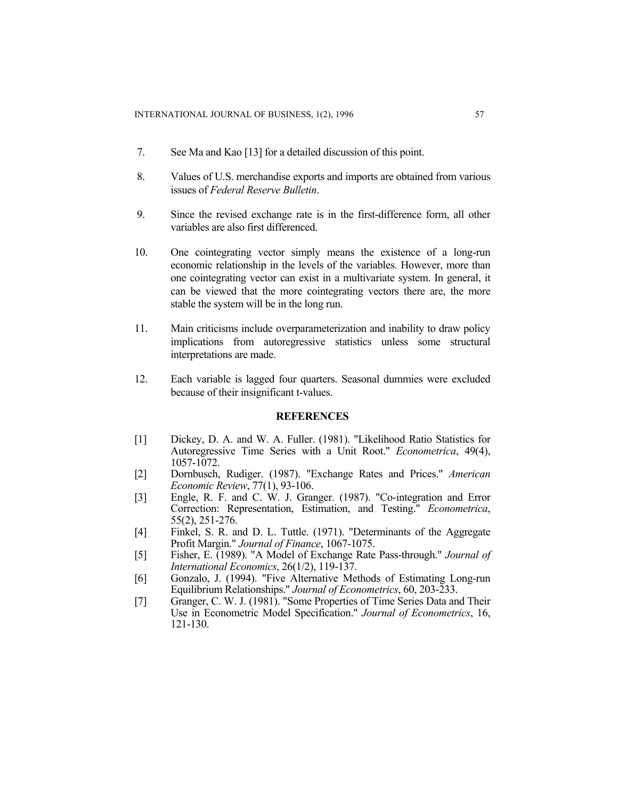- 7. See Ma and Kao [13] for a detailed discussion of this point.
- 8. Values of U.S. merchandise exports and imports are obtained from various issues of *Federal Reserve Bulletin*.
- 9. Since the revised exchange rate is in the first-difference form, all other variables are also first differenced.
- 10. One cointegrating vector simply means the existence of a long-run economic relationship in the levels of the variables. However, more than one cointegrating vector can exist in a multivariate system. In general, it can be viewed that the more cointegrating vectors there are, the more stable the system will be in the long run.
- 11. Main criticisms include overparameterization and inability to draw policy implications from autoregressive statistics unless some structural interpretations are made.
- 12. Each variable is lagged four quarters. Seasonal dummies were excluded because of their insignificant t-values.

#### **REFERENCES**

- [1] Dickey, D. A. and W. A. Fuller. (1981). "Likelihood Ratio Statistics for Autoregressive Time Series with a Unit Root." *Econometrica*, 49(4), 1057-1072.
- [2] Dornbusch, Rudiger. (1987). "Exchange Rates and Prices." *American Economic Review*, 77(1), 93-106.
- [3] Engle, R. F. and C. W. J. Granger. (1987). "Co-integration and Error Correction: Representation, Estimation, and Testing." *Econometrica*, 55(2), 251-276.
- [4] Finkel, S. R. and D. L. Tuttle. (1971). "Determinants of the Aggregate Profit Margin." *Journal of Finance*, 1067-1075.
- [5] Fisher, E. (1989). "A Model of Exchange Rate Pass-through." *Journal of International Economics*, 26(1/2), 119-137.
- [6] Gonzalo, J. (1994). "Five Alternative Methods of Estimating Long-run Equilibrium Relationships." *Journal of Econometrics*, 60, 203-233.
- [7] Granger, C. W. J. (1981). "Some Properties of Time Series Data and Their Use in Econometric Model Specification." *Journal of Econometrics*, 16, 121-130.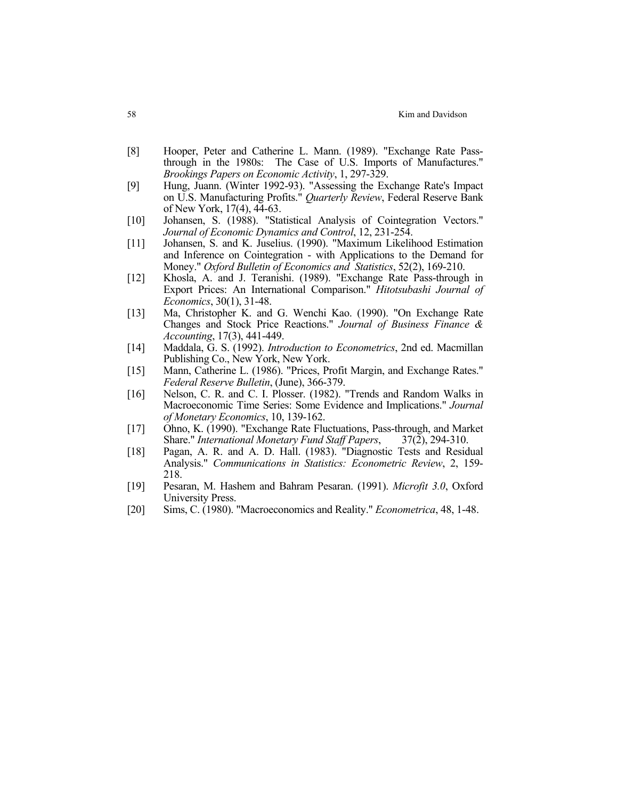- [8] Hooper, Peter and Catherine L. Mann. (1989). "Exchange Rate Passthrough in the 1980s: The Case of U.S. Imports of Manufactures." *Brookings Papers on Economic Activity*, 1, 297-329.
- [9] Hung, Juann. (Winter 1992-93). "Assessing the Exchange Rate's Impact on U.S. Manufacturing Profits." *Quarterly Review*, Federal Reserve Bank of New York, 17(4), 44-63.
- [10] Johansen, S. (1988). "Statistical Analysis of Cointegration Vectors." *Journal of Economic Dynamics and Control*, 12, 231-254.
- [11] Johansen, S. and K. Juselius. (1990). "Maximum Likelihood Estimation and Inference on Cointegration - with Applications to the Demand for Money." *Oxford Bulletin of Economics and Statistics*, 52(2), 169-210.
- [12] Khosla, A. and J. Teranishi. (1989). "Exchange Rate Pass-through in Export Prices: An International Comparison." *Hitotsubashi Journal of Economics*, 30(1), 31-48.
- [13] Ma, Christopher K. and G. Wenchi Kao. (1990). "On Exchange Rate Changes and Stock Price Reactions." *Journal of Business Finance & Accounting*, 17(3), 441-449.
- [14] Maddala, G. S. (1992). *Introduction to Econometrics*, 2nd ed. Macmillan Publishing Co., New York, New York.
- [15] Mann, Catherine L. (1986). "Prices, Profit Margin, and Exchange Rates." *Federal Reserve Bulletin*, (June), 366-379.
- [16] Nelson, C. R. and C. I. Plosser. (1982). "Trends and Random Walks in Macroeconomic Time Series: Some Evidence and Implications." *Journal of Monetary Economics*, 10, 139-162.
- [17] Ohno, K. (1990). "Exchange Rate Fluctuations, Pass-through, and Market Share." *International Monetary Fund Staff Papers*, 37(2), 294-310.
- [18] Pagan, A. R. and A. D. Hall. (1983). "Diagnostic Tests and Residual Analysis." *Communications in Statistics: Econometric Review*, 2, 159- 218.
- [19] Pesaran, M. Hashem and Bahram Pesaran. (1991). *Microfit 3.0*, Oxford University Press.
- [20] Sims, C. (1980). "Macroeconomics and Reality." *Econometrica*, 48, 1-48.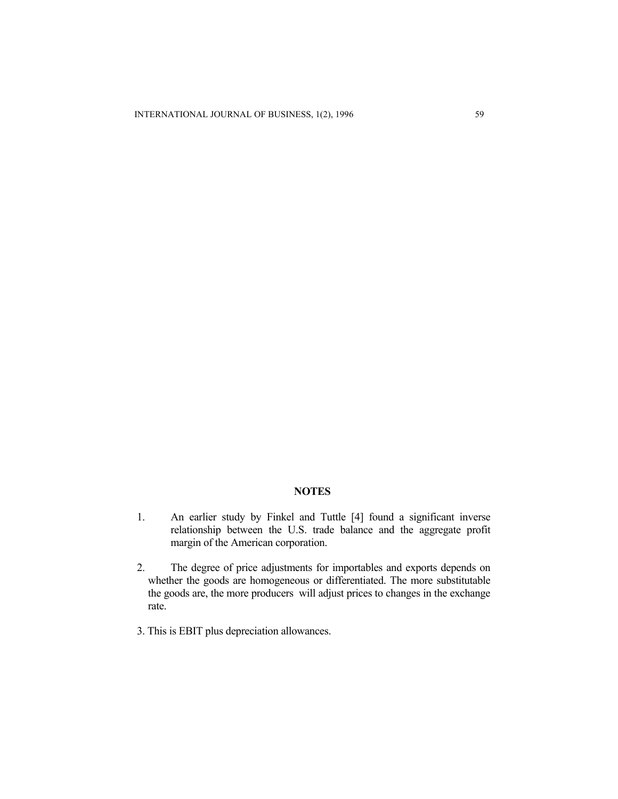#### **NOTES**

- 1. An earlier study by Finkel and Tuttle [4] found a significant inverse relationship between the U.S. trade balance and the aggregate profit margin of the American corporation.
- 2. The degree of price adjustments for importables and exports depends on whether the goods are homogeneous or differentiated. The more substitutable the goods are, the more producers will adjust prices to changes in the exchange rate.
- 3. This is EBIT plus depreciation allowances.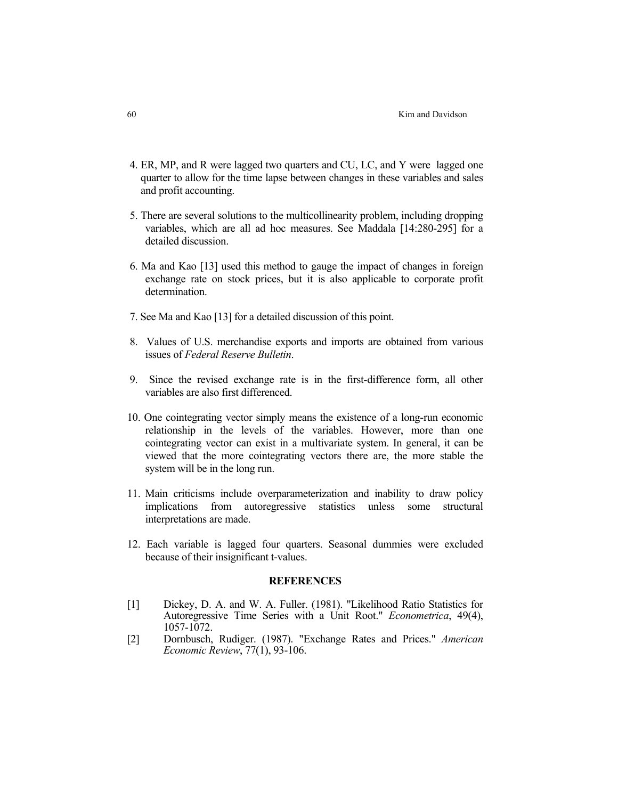- 4. ER, MP, and R were lagged two quarters and CU, LC, and Y were lagged one quarter to allow for the time lapse between changes in these variables and sales and profit accounting.
- 5. There are several solutions to the multicollinearity problem, including dropping variables, which are all ad hoc measures. See Maddala [14:280-295] for a detailed discussion.
- 6. Ma and Kao [13] used this method to gauge the impact of changes in foreign exchange rate on stock prices, but it is also applicable to corporate profit determination.
- 7. See Ma and Kao [13] for a detailed discussion of this point.
- 8. Values of U.S. merchandise exports and imports are obtained from various issues of *Federal Reserve Bulletin*.
- 9. Since the revised exchange rate is in the first-difference form, all other variables are also first differenced.
- 10. One cointegrating vector simply means the existence of a long-run economic relationship in the levels of the variables. However, more than one cointegrating vector can exist in a multivariate system. In general, it can be viewed that the more cointegrating vectors there are, the more stable the system will be in the long run.
- 11. Main criticisms include overparameterization and inability to draw policy implications from autoregressive statistics unless some structural interpretations are made.
- 12. Each variable is lagged four quarters. Seasonal dummies were excluded because of their insignificant t-values.

#### **REFERENCES**

- [1] Dickey, D. A. and W. A. Fuller. (1981). "Likelihood Ratio Statistics for Autoregressive Time Series with a Unit Root." *Econometrica*, 49(4), 1057-1072.
- [2] Dornbusch, Rudiger. (1987). "Exchange Rates and Prices." *American Economic Review*, 77(1), 93-106.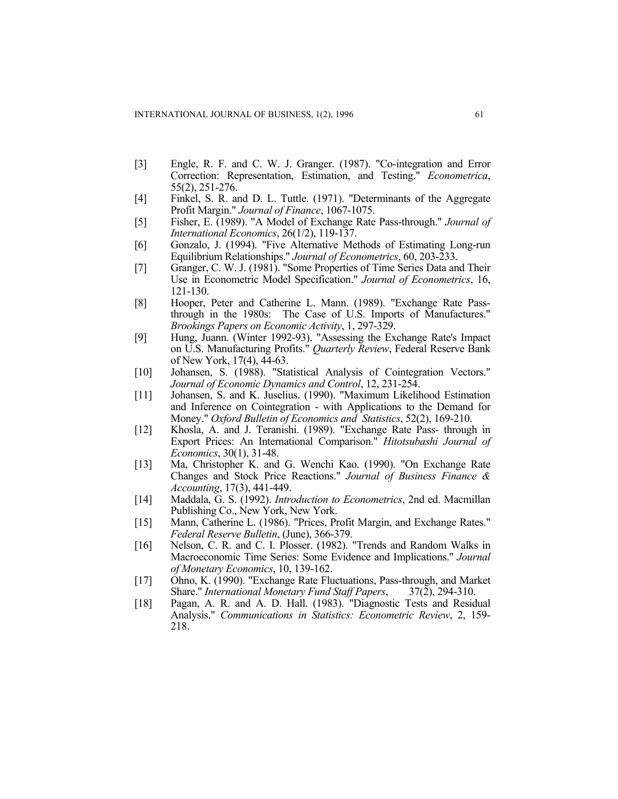- [3] Engle, R. F. and C. W. J. Granger. (1987). "Co-integration and Error Correction: Representation, Estimation, and Testing." *Econometrica*, 55(2), 251-276.
- [4] Finkel, S. R. and D. L. Tuttle. (1971). "Determinants of the Aggregate Profit Margin." *Journal of Finance*, 1067-1075.
- [5] Fisher, E. (1989). "A Model of Exchange Rate Pass-through." *Journal of International Economics*, 26(1/2), 119-137.
- [6] Gonzalo, J. (1994). "Five Alternative Methods of Estimating Long-run Equilibrium Relationships." *Journal of Econometrics*, 60, 203-233.
- [7] Granger, C. W. J. (1981). "Some Properties of Time Series Data and Their Use in Econometric Model Specification." *Journal of Econometrics*, 16, 121-130.
- [8] Hooper, Peter and Catherine L. Mann. (1989). "Exchange Rate Passthrough in the 1980s: The Case of U.S. Imports of Manufactures." *Brookings Papers on Economic Activity*, 1, 297-329.
- [9] Hung, Juann. (Winter 1992-93). "Assessing the Exchange Rate's Impact on U.S. Manufacturing Profits." *Quarterly Review*, Federal Reserve Bank of New York, 17(4), 44-63.
- [10] Johansen, S. (1988). "Statistical Analysis of Cointegration Vectors." *Journal of Economic Dynamics and Control*, 12, 231-254.
- [11] Johansen, S. and K. Juselius. (1990). "Maximum Likelihood Estimation and Inference on Cointegration - with Applications to the Demand for Money." *Oxford Bulletin of Economics and Statistics*, 52(2), 169-210.
- [12] Khosla, A. and J. Teranishi. (1989). "Exchange Rate Pass- through in Export Prices: An International Comparison." *Hitotsubashi Journal of Economics*, 30(1), 31-48.
- [13] Ma, Christopher K. and G. Wenchi Kao. (1990). "On Exchange Rate Changes and Stock Price Reactions." *Journal of Business Finance & Accounting*, 17(3), 441-449.
- [14] Maddala, G. S. (1992). *Introduction to Econometrics*, 2nd ed. Macmillan Publishing Co., New York, New York.
- [15] Mann, Catherine L. (1986). "Prices, Profit Margin, and Exchange Rates." *Federal Reserve Bulletin*, (June), 366-379.
- [16] Nelson, C. R. and C. I. Plosser. (1982). "Trends and Random Walks in Macroeconomic Time Series: Some Evidence and Implications." *Journal of Monetary Economics*, 10, 139-162.
- [17] Öhno, K. (1990). "Exchange Rate Fluctuations, Pass-through, and Market Share." *International Monetary Fund Staff Papers*, 37(2), 294-310.
- [18] Pagan, A. R. and A. D. Hall. (1983). "Diagnostic Tests and Residual Analysis." *Communications in Statistics: Econometric Review*, 2, 159- 218.